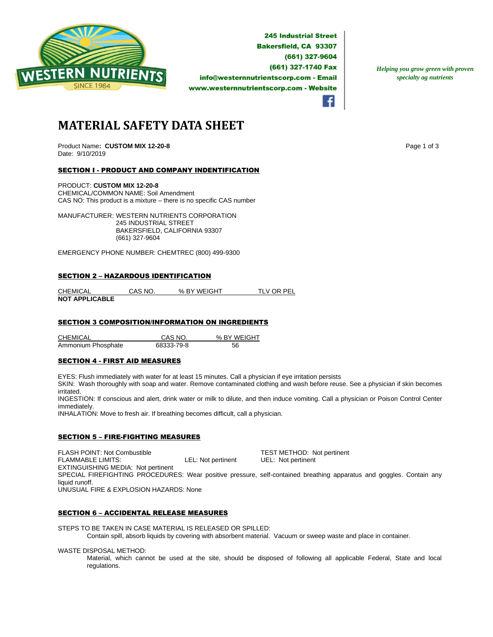

**245 Industrial Street Bakersfield, CA 93307** (661) 327-9604 (661) 327-1740 Fax info@westernnutrientscorp.com - Email www.westernnutrientscorp.com - Website

*Helping you grow green with proven specialty ag nutrients*

**MATERIAL SAFETY DATA SHEET**

Product Name: CUSTOM MIX 12-20-8 **Page 1 of 3** Page 1 of 3 Date: 9/10/2019

# SECTION I - PRODUCT AND COMPANY INDENTIFICATION

PRODUCT: **CUSTOM MIX 12-20-8**  CHEMICAL/COMMON NAME: Soil Amendment CAS NO: This product is a mixture – there is no specific CAS number

MANUFACTURER: WESTERN NUTRIENTS CORPORATION 245 INDUSTRIAL STREET BAKERSFIELD, CALIFORNIA 93307 (661) 327-9604

EMERGENCY PHONE NUMBER: CHEMTREC (800) 499-9300

### SECTION 2 – HAZARDOUS IDENTIFICATION

| <b>CHEMICAL</b>       | CAS NO. | % BY WEIGHT | TLV OR PEL |
|-----------------------|---------|-------------|------------|
| <b>NOT APPLICABLE</b> |         |             |            |

# SECTION 3 COMPOSITION/INFORMATION ON INGREDIENTS

CHEMICAL CAS NO. % BY WEIGHT Ammonium Phosphate 68333-79-8 56

# SECTION 4 - FIRST AID MEASURES

EYES: Flush immediately with water for at least 15 minutes. Call a physician if eye irritation persists

SKIN: Wash thoroughly with soap and water. Remove contaminated clothing and wash before reuse. See a physician if skin becomes irritated.

INGESTION: If conscious and alert, drink water or milk to dilute, and then induce vomiting. Call a physician or Poison Control Center immediately.

INHALATION: Move to fresh air. If breathing becomes difficult, call a physician.

#### SECTION 5 – FIRE-FIGHTING MEASURES

FLASH POINT: Not Combustible **TEST METHOD:** Not pertinent<br>
FLAMMABLE LIMITS: COMBUST LEL: Not pertinent UEL: Not pertinent FLAMMABLE LIMITS: LEL: Not pertinent UEL: Not pertinent EXTINGUISHING MEDIA: Not pertinent SPECIAL FIREFIGHTING PROCEDURES: Wear positive pressure, self-contained breathing apparatus and goggles. Contain any liquid runoff. UNUSUAL FIRE & EXPLOSION HAZARDS: None

### SECTION 6 – ACCIDENTAL RELEASE MEASURES

STEPS TO BE TAKEN IN CASE MATERIAL IS RELEASED OR SPILLED: Contain spill, absorb liquids by covering with absorbent material. Vacuum or sweep waste and place in container.

WASTE DISPOSAL METHOD:

Material, which cannot be used at the site, should be disposed of following all applicable Federal, State and local regulations.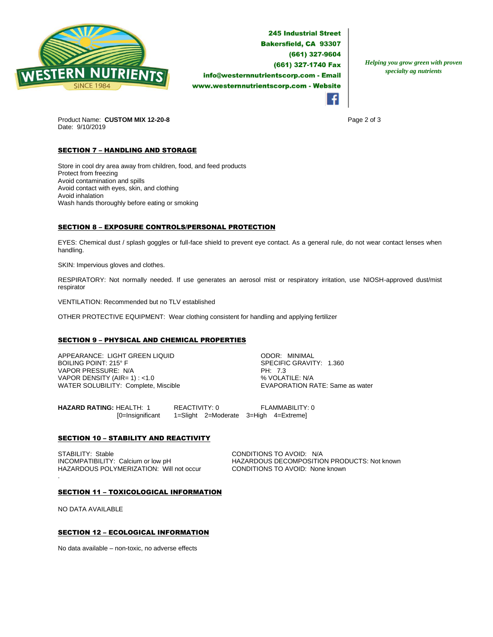

**245 Industrial Street Bakersfield, CA 93307** (661) 327-9604 (661) 327-1740 Fax info@westernnutrientscorp.com - Email www.westernnutrientscorp.com - Website

*Helping you grow green with proven specialty ag nutrients*



Product Name: **CUSTOM MIX 12-20-8 Page 2 of 3 Page 2 of 3** Date: 9/10/2019

# **SECTION 7 - HANDLING AND STORAGE**

Store in cool dry area away from children, food, and feed products Protect from freezing Avoid contamination and spills Avoid contact with eyes, skin, and clothing Avoid inhalation Wash hands thoroughly before eating or smoking

# SECTION 8 – EXPOSURE CONTROLS/PERSONAL PROTECTION

EYES: Chemical dust / splash goggles or full-face shield to prevent eye contact. As a general rule, do not wear contact lenses when handling.

SKIN: Impervious gloves and clothes.

RESPIRATORY: Not normally needed. If use generates an aerosol mist or respiratory irritation, use NIOSH-approved dust/mist respirator

VENTILATION: Recommended but no TLV established

OTHER PROTECTIVE EQUIPMENT: Wear clothing consistent for handling and applying fertilizer

# SECTION 9 – PHYSICAL AND CHEMICAL PROPERTIES

APPEARANCE: LIGHT GREEN LIQUID ODOR: MINIMAL VAPOR PRESSURE: N/A PH: 7.3 VAPOR DENSITY (AIR= 1) : <1.0<br>
WATER SOLUBILITY: Complete, Miscible  $\begin{array}{c} \text{WAYN} = \text{WAYN} \\ \text{WAYN} = \text{WAYN} \end{array}$ WATER SOLUBILITY: Complete, Miscible

SPECIFIC GRAVITY: 1.360

**HAZARD RATING:** HEALTH: 1 REACTIVITY: 0 FLAMMABILITY: 0 [0=Insignificant 1=Slight 2=Moderate 3=High 4=Extreme]

# **SECTION 10 - STABILITY AND REACTIVITY**

STABILITY: Stable Calcium or low pH CONDITIONS TO AVOID: N/A<br>INCOMPATIBILITY: Calcium or low pH HAZARDOUS DECOMPOSITIC HAZARDOUS POLYMERIZATION: Will not occur CONDITIONS TO AVOID: None known

HAZARDOUS DECOMPOSITION PRODUCTS: Not known

#### SECTION 11 – TOXICOLOGICAL INFORMATION

NO DATA AVAILABLE

.

# SECTION 12 – ECOLOGICAL INFORMATION

No data available – non-toxic, no adverse effects